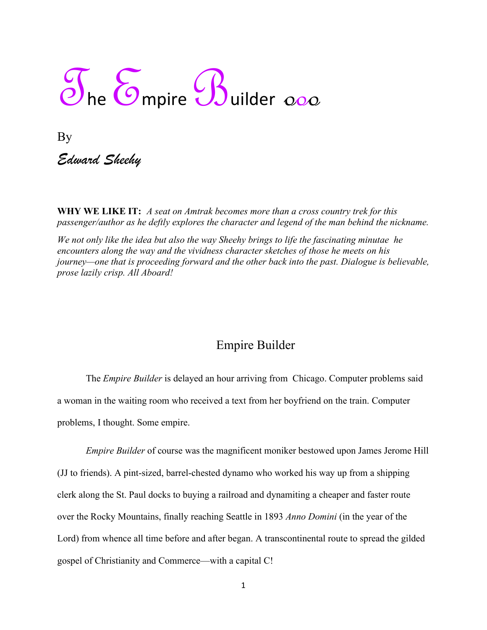## The Empire Builder 000

By *Edward Sheehy*

**WHY WE LIKE IT:** *A seat on Amtrak becomes more than a cross country trek for this passenger/author as he deftly explores the character and legend of the man behind the nickname.*

*We not only like the idea but also the way Sheehy brings to life the fascinating minutae he encounters along the way and the vividness character sketches of those he meets on his journey—one that is proceeding forward and the other back into the past. Dialogue is believable, prose lazily crisp. All Aboard!*

## Empire Builder

The *Empire Builder* is delayed an hour arriving from Chicago. Computer problems said a woman in the waiting room who received a text from her boyfriend on the train. Computer problems, I thought. Some empire.

*Empire Builder* of course was the magnificent moniker bestowed upon James Jerome Hill (JJ to friends). A pint-sized, barrel-chested dynamo who worked his way up from a shipping clerk along the St. Paul docks to buying a railroad and dynamiting a cheaper and faster route over the Rocky Mountains, finally reaching Seattle in 1893 *Anno Domini* (in the year of the Lord) from whence all time before and after began. A transcontinental route to spread the gilded gospel of Christianity and Commerce—with a capital C!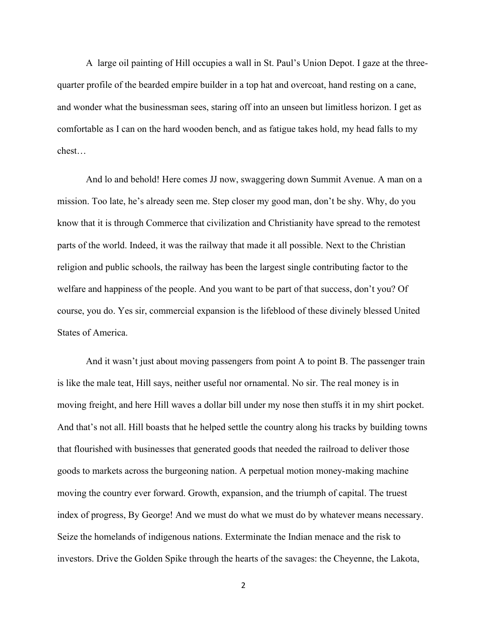A large oil painting of Hill occupies a wall in St. Paul's Union Depot. I gaze at the threequarter profile of the bearded empire builder in a top hat and overcoat, hand resting on a cane, and wonder what the businessman sees, staring off into an unseen but limitless horizon. I get as comfortable as I can on the hard wooden bench, and as fatigue takes hold, my head falls to my chest…

And lo and behold! Here comes JJ now, swaggering down Summit Avenue. A man on a mission. Too late, he's already seen me. Step closer my good man, don't be shy. Why, do you know that it is through Commerce that civilization and Christianity have spread to the remotest parts of the world. Indeed, it was the railway that made it all possible. Next to the Christian religion and public schools, the railway has been the largest single contributing factor to the welfare and happiness of the people. And you want to be part of that success, don't you? Of course, you do. Yes sir, commercial expansion is the lifeblood of these divinely blessed United States of America.

And it wasn't just about moving passengers from point A to point B. The passenger train is like the male teat, Hill says, neither useful nor ornamental. No sir. The real money is in moving freight, and here Hill waves a dollar bill under my nose then stuffs it in my shirt pocket. And that's not all. Hill boasts that he helped settle the country along his tracks by building towns that flourished with businesses that generated goods that needed the railroad to deliver those goods to markets across the burgeoning nation. A perpetual motion money-making machine moving the country ever forward. Growth, expansion, and the triumph of capital. The truest index of progress, By George! And we must do what we must do by whatever means necessary. Seize the homelands of indigenous nations. Exterminate the Indian menace and the risk to investors. Drive the Golden Spike through the hearts of the savages: the Cheyenne, the Lakota,

2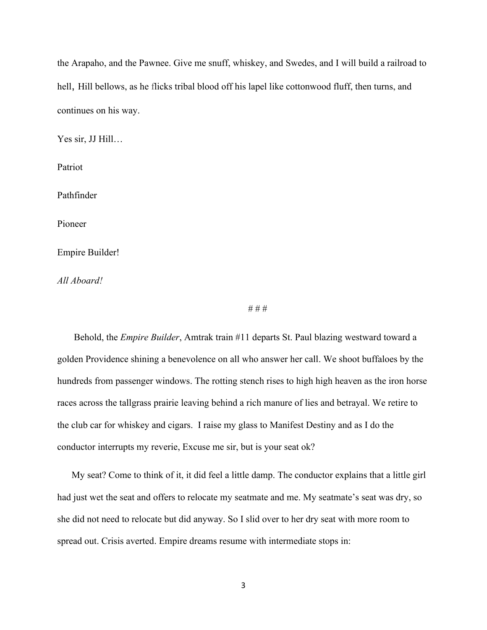the Arapaho, and the Pawnee. Give me snuff, whiskey, and Swedes, and I will build a railroad to hell, Hill bellows, as he flicks tribal blood off his lapel like cottonwood fluff, then turns, and continues on his way.

Yes sir, JJ Hill…

Patriot

Pathfinder

Pioneer

Empire Builder!

*All Aboard!*

# # #

 Behold, the *Empire Builder*, Amtrak train #11 departs St. Paul blazing westward toward a golden Providence shining a benevolence on all who answer her call. We shoot buffaloes by the hundreds from passenger windows. The rotting stench rises to high high heaven as the iron horse races across the tallgrass prairie leaving behind a rich manure of lies and betrayal. We retire to the club car for whiskey and cigars. I raise my glass to Manifest Destiny and as I do the conductor interrupts my reverie, Excuse me sir, but is your seat ok?

 My seat? Come to think of it, it did feel a little damp. The conductor explains that a little girl had just wet the seat and offers to relocate my seatmate and me. My seatmate's seat was dry, so she did not need to relocate but did anyway. So I slid over to her dry seat with more room to spread out. Crisis averted. Empire dreams resume with intermediate stops in: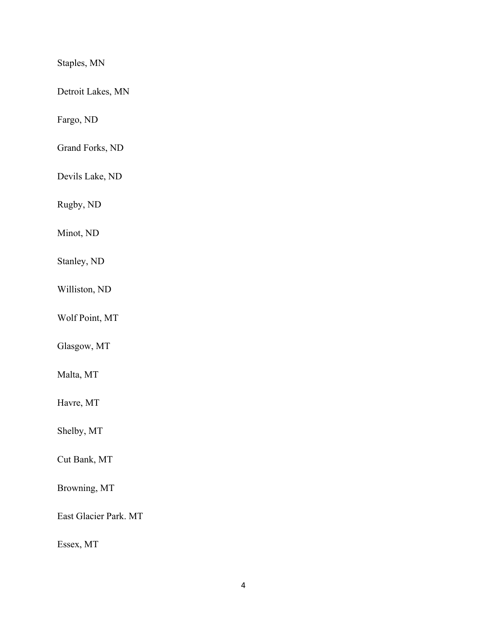Staples, MN

Detroit Lakes, MN

Fargo, ND

Grand Forks, ND

Devils Lake, ND

Rugby, ND

Minot, ND

Stanley, ND

Williston, ND

Wolf Point, MT

Glasgow, MT

Malta, MT

Havre, MT

Shelby, MT

Cut Bank, MT

Browning, MT

East Glacier Park. MT

Essex, MT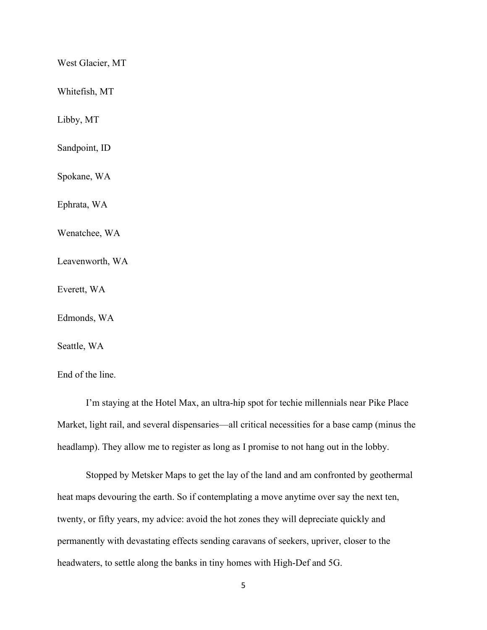West Glacier, MT

Whitefish, MT

Libby, MT

Sandpoint, ID

Spokane, WA

Ephrata, WA

Wenatchee, WA

Leavenworth, WA

Everett, WA

Edmonds, WA

Seattle, WA

End of the line.

I'm staying at the Hotel Max, an ultra-hip spot for techie millennials near Pike Place Market, light rail, and several dispensaries—all critical necessities for a base camp (minus the headlamp). They allow me to register as long as I promise to not hang out in the lobby.

Stopped by Metsker Maps to get the lay of the land and am confronted by geothermal heat maps devouring the earth. So if contemplating a move anytime over say the next ten, twenty, or fifty years, my advice: avoid the hot zones they will depreciate quickly and permanently with devastating effects sending caravans of seekers, upriver, closer to the headwaters, to settle along the banks in tiny homes with High-Def and 5G.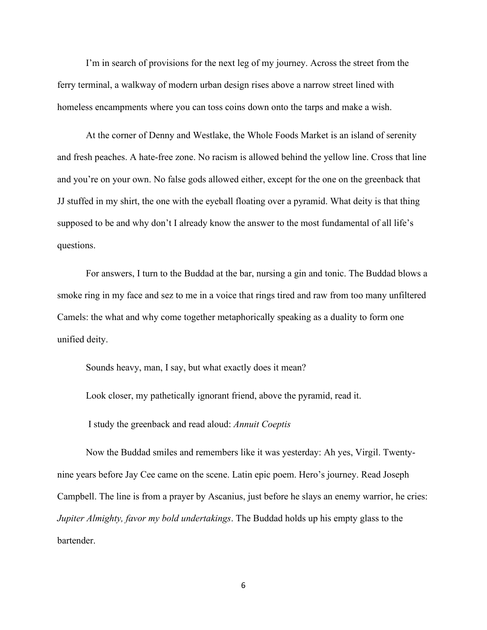I'm in search of provisions for the next leg of my journey. Across the street from the ferry terminal, a walkway of modern urban design rises above a narrow street lined with homeless encampments where you can toss coins down onto the tarps and make a wish.

At the corner of Denny and Westlake, the Whole Foods Market is an island of serenity and fresh peaches. A hate-free zone. No racism is allowed behind the yellow line. Cross that line and you're on your own. No false gods allowed either, except for the one on the greenback that JJ stuffed in my shirt, the one with the eyeball floating over a pyramid. What deity is that thing supposed to be and why don't I already know the answer to the most fundamental of all life's questions.

For answers, I turn to the Buddad at the bar, nursing a gin and tonic. The Buddad blows a smoke ring in my face and sez to me in a voice that rings tired and raw from too many unfiltered Camels: the what and why come together metaphorically speaking as a duality to form one unified deity.

Sounds heavy, man, I say, but what exactly does it mean? Look closer, my pathetically ignorant friend, above the pyramid, read it. I study the greenback and read aloud: *Annuit Coeptis*

Now the Buddad smiles and remembers like it was yesterday: Ah yes, Virgil. Twentynine years before Jay Cee came on the scene. Latin epic poem. Hero's journey. Read Joseph Campbell. The line is from a prayer by Ascanius, just before he slays an enemy warrior, he cries: *Jupiter Almighty, favor my bold undertakings*. The Buddad holds up his empty glass to the bartender.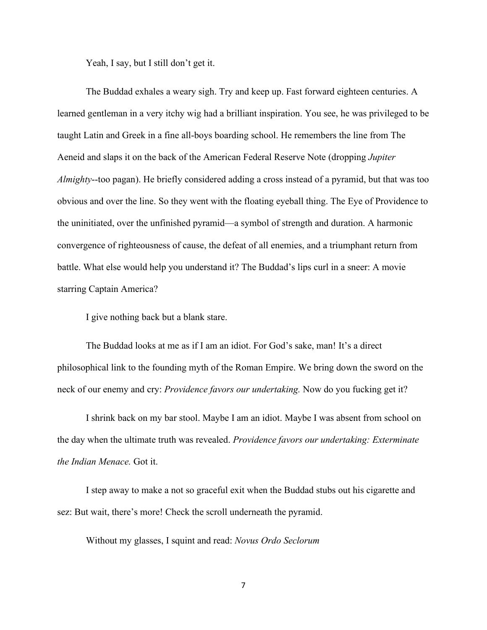Yeah, I say, but I still don't get it.

The Buddad exhales a weary sigh. Try and keep up. Fast forward eighteen centuries. A learned gentleman in a very itchy wig had a brilliant inspiration. You see, he was privileged to be taught Latin and Greek in a fine all-boys boarding school. He remembers the line from The Aeneid and slaps it on the back of the American Federal Reserve Note (dropping *Jupiter Almighty*--too pagan). He briefly considered adding a cross instead of a pyramid, but that was too obvious and over the line. So they went with the floating eyeball thing. The Eye of Providence to the uninitiated, over the unfinished pyramid—a symbol of strength and duration. A harmonic convergence of righteousness of cause, the defeat of all enemies, and a triumphant return from battle. What else would help you understand it? The Buddad's lips curl in a sneer: A movie starring Captain America?

I give nothing back but a blank stare.

The Buddad looks at me as if I am an idiot. For God's sake, man! It's a direct philosophical link to the founding myth of the Roman Empire. We bring down the sword on the neck of our enemy and cry: *Providence favors our undertaking.* Now do you fucking get it?

I shrink back on my bar stool. Maybe I am an idiot. Maybe I was absent from school on the day when the ultimate truth was revealed. *Providence favors our undertaking: Exterminate the Indian Menace.* Got it.

I step away to make a not so graceful exit when the Buddad stubs out his cigarette and sez: But wait, there's more! Check the scroll underneath the pyramid.

Without my glasses, I squint and read: *Novus Ordo Seclorum*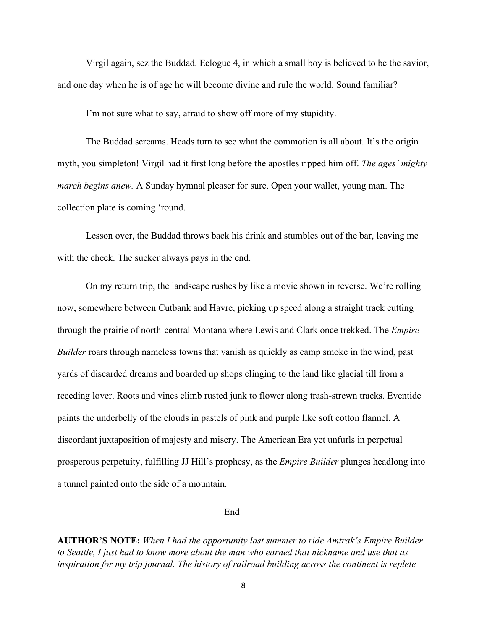Virgil again, sez the Buddad. Eclogue 4, in which a small boy is believed to be the savior, and one day when he is of age he will become divine and rule the world. Sound familiar?

I'm not sure what to say, afraid to show off more of my stupidity.

The Buddad screams. Heads turn to see what the commotion is all about. It's the origin myth, you simpleton! Virgil had it first long before the apostles ripped him off. *The ages' mighty march begins anew.* A Sunday hymnal pleaser for sure. Open your wallet, young man. The collection plate is coming 'round.

Lesson over, the Buddad throws back his drink and stumbles out of the bar, leaving me with the check. The sucker always pays in the end.

On my return trip, the landscape rushes by like a movie shown in reverse. We're rolling now, somewhere between Cutbank and Havre, picking up speed along a straight track cutting through the prairie of north-central Montana where Lewis and Clark once trekked. The *Empire Builder* roars through nameless towns that vanish as quickly as camp smoke in the wind, past yards of discarded dreams and boarded up shops clinging to the land like glacial till from a receding lover. Roots and vines climb rusted junk to flower along trash-strewn tracks. Eventide paints the underbelly of the clouds in pastels of pink and purple like soft cotton flannel. A discordant juxtaposition of majesty and misery. The American Era yet unfurls in perpetual prosperous perpetuity, fulfilling JJ Hill's prophesy, as the *Empire Builder* plunges headlong into a tunnel painted onto the side of a mountain.

## End

**AUTHOR'S NOTE:** *When I had the opportunity last summer to ride Amtrak's Empire Builder to Seattle, I just had to know more about the man who earned that nickname and use that as inspiration for my trip journal. The history of railroad building across the continent is replete* 

8